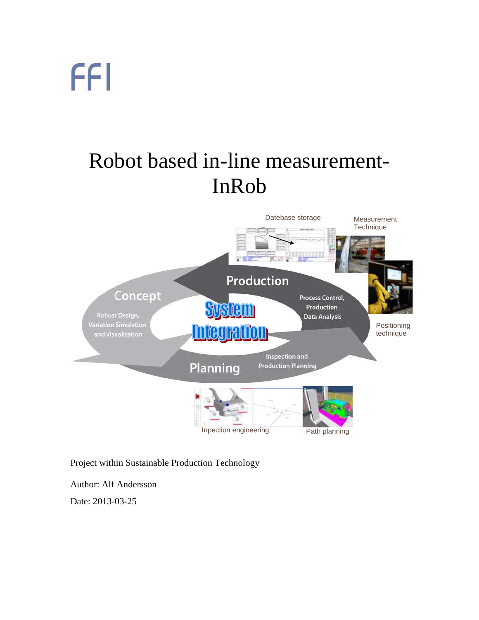### Robot based in-line measurement-InRob



#### Project within Sustainable Production Technology

Author: Alf Andersson

Date: 2013-03-25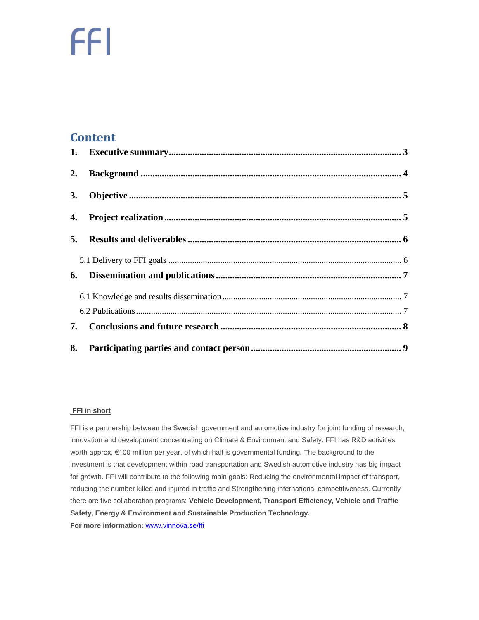#### **Content**

| 2.        |  |
|-----------|--|
| <b>3.</b> |  |
| 4.        |  |
|           |  |
|           |  |
| 6.        |  |
|           |  |
|           |  |
|           |  |
| 8.        |  |

#### **FFI in short**

FFI is a partnership between the Swedish government and automotive industry for joint funding of research, innovation and development concentrating on Climate & Environment and Safety. FFI has R&D activities worth approx. €100 million per year, of which half is governmental funding. The background to the investment is that development within road transportation and Swedish automotive industry has big impact for growth. FFI will contribute to the following main goals: Reducing the environmental impact of transport, reducing the number killed and injured in traffic and Strengthening international competitiveness. Currently there are five collaboration programs: **Vehicle Development, Transport Efficiency, Vehicle and Traffic Safety, Energy & Environment and Sustainable Production Technology. For more information:** [www.vinnova.se/ffi](http://www.vinnova.se/ffi)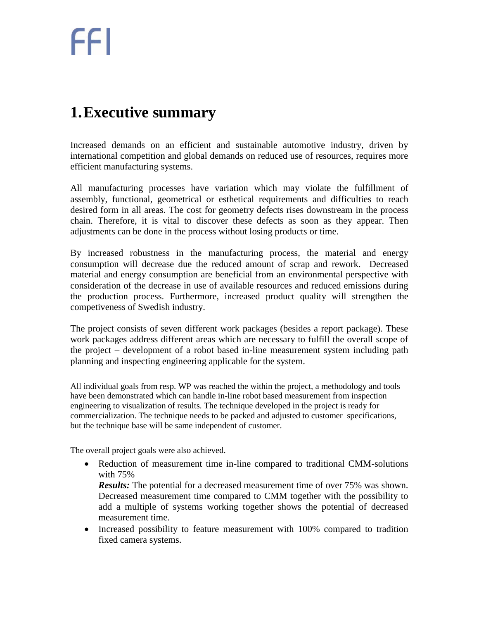### <span id="page-2-0"></span>**1.Executive summary**

Increased demands on an efficient and sustainable automotive industry, driven by international competition and global demands on reduced use of resources, requires more efficient manufacturing systems.

All manufacturing processes have variation which may violate the fulfillment of assembly, functional, geometrical or esthetical requirements and difficulties to reach desired form in all areas. The cost for geometry defects rises downstream in the process chain. Therefore, it is vital to discover these defects as soon as they appear. Then adjustments can be done in the process without losing products or time.

By increased robustness in the manufacturing process, the material and energy consumption will decrease due the reduced amount of scrap and rework. Decreased material and energy consumption are beneficial from an environmental perspective with consideration of the decrease in use of available resources and reduced emissions during the production process. Furthermore, increased product quality will strengthen the competiveness of Swedish industry.

The project consists of seven different work packages (besides a report package). These work packages address different areas which are necessary to fulfill the overall scope of the project – development of a robot based in-line measurement system including path planning and inspecting engineering applicable for the system.

All individual goals from resp. WP was reached the within the project, a methodology and tools have been demonstrated which can handle in-line robot based measurement from inspection engineering to visualization of results. The technique developed in the project is ready for commercialization. The technique needs to be packed and adjusted to customer specifications, but the technique base will be same independent of customer.

The overall project goals were also achieved.

 Reduction of measurement time in-line compared to traditional CMM-solutions with 75%

*Results:* The potential for a decreased measurement time of over 75% was shown. Decreased measurement time compared to CMM together with the possibility to add a multiple of systems working together shows the potential of decreased measurement time.

• Increased possibility to feature measurement with 100% compared to tradition fixed camera systems.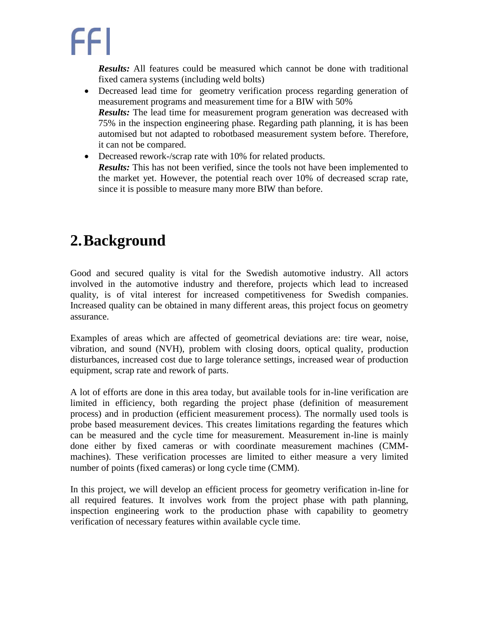*Results:* All features could be measured which cannot be done with traditional fixed camera systems (including weld bolts)

- Decreased lead time for geometry verification process regarding generation of measurement programs and measurement time for a BIW with 50% *Results:* The lead time for measurement program generation was decreased with 75% in the inspection engineering phase. Regarding path planning, it is has been automised but not adapted to robotbased measurement system before. Therefore, it can not be compared.
- Decreased rework-/scrap rate with 10% for related products. *Results:* This has not been verified, since the tools not have been implemented to the market yet. However, the potential reach over 10% of decreased scrap rate, since it is possible to measure many more BIW than before.

### <span id="page-3-0"></span>**2.Background**

Good and secured quality is vital for the Swedish automotive industry. All actors involved in the automotive industry and therefore, projects which lead to increased quality, is of vital interest for increased competitiveness for Swedish companies. Increased quality can be obtained in many different areas, this project focus on geometry assurance.

Examples of areas which are affected of geometrical deviations are: tire wear, noise, vibration, and sound (NVH), problem with closing doors, optical quality, production disturbances, increased cost due to large tolerance settings, increased wear of production equipment, scrap rate and rework of parts.

A lot of efforts are done in this area today, but available tools for in-line verification are limited in efficiency, both regarding the project phase (definition of measurement process) and in production (efficient measurement process). The normally used tools is probe based measurement devices. This creates limitations regarding the features which can be measured and the cycle time for measurement. Measurement in-line is mainly done either by fixed cameras or with coordinate measurement machines (CMMmachines). These verification processes are limited to either measure a very limited number of points (fixed cameras) or long cycle time (CMM).

In this project, we will develop an efficient process for geometry verification in-line for all required features. It involves work from the project phase with path planning, inspection engineering work to the production phase with capability to geometry verification of necessary features within available cycle time.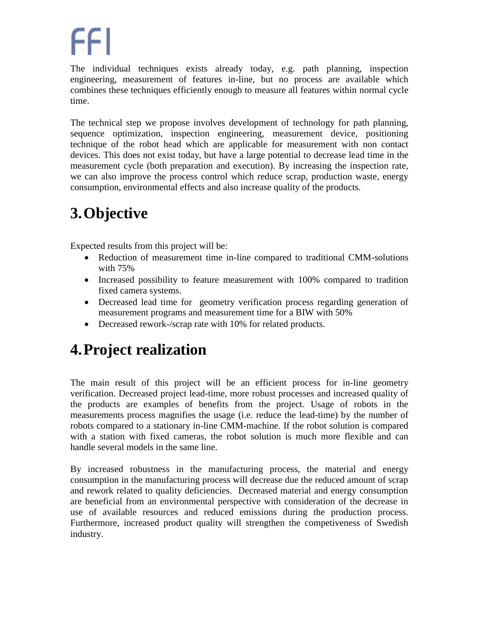The individual techniques exists already today, e.g. path planning, inspection engineering, measurement of features in-line, but no process are available which combines these techniques efficiently enough to measure all features within normal cycle time.

The technical step we propose involves development of technology for path planning, sequence optimization, inspection engineering, measurement device, positioning technique of the robot head which are applicable for measurement with non contact devices. This does not exist today, but have a large potential to decrease lead time in the measurement cycle (both preparation and execution). By increasing the inspection rate, we can also improve the process control which reduce scrap, production waste, energy consumption, environmental effects and also increase quality of the products.

### <span id="page-4-0"></span>**3.Objective**

Expected results from this project will be:

- Reduction of measurement time in-line compared to traditional CMM-solutions with 75%
- Increased possibility to feature measurement with 100% compared to tradition fixed camera systems.
- Decreased lead time for geometry verification process regarding generation of measurement programs and measurement time for a BIW with 50%
- Decreased rework-/scrap rate with 10% for related products.

### <span id="page-4-1"></span>**4.Project realization**

The main result of this project will be an efficient process for in-line geometry verification. Decreased project lead-time, more robust processes and increased quality of the products are examples of benefits from the project. Usage of robots in the measurements process magnifies the usage (i.e. reduce the lead-time) by the number of robots compared to a stationary in-line CMM-machine. If the robot solution is compared with a station with fixed cameras, the robot solution is much more flexible and can handle several models in the same line.

By increased robustness in the manufacturing process, the material and energy consumption in the manufacturing process will decrease due the reduced amount of scrap and rework related to quality deficiencies. Decreased material and energy consumption are beneficial from an environmental perspective with consideration of the decrease in use of available resources and reduced emissions during the production process. Furthermore, increased product quality will strengthen the competiveness of Swedish industry.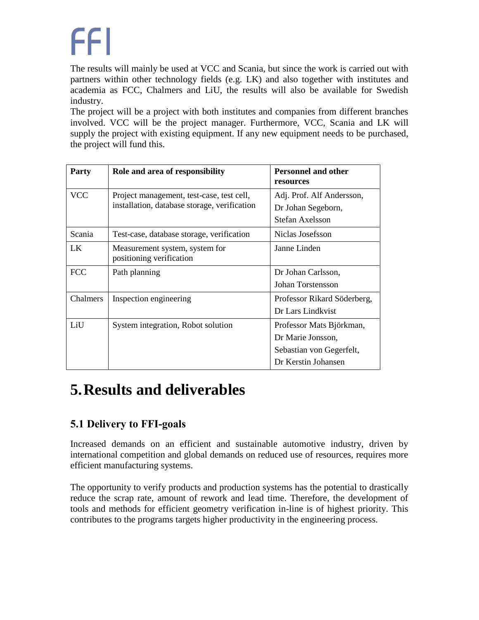The results will mainly be used at VCC and Scania, but since the work is carried out with partners within other technology fields (e.g. LK) and also together with institutes and academia as FCC, Chalmers and LiU, the results will also be available for Swedish industry.

The project will be a project with both institutes and companies from different branches involved. VCC will be the project manager. Furthermore, VCC, Scania and LK will supply the project with existing equipment. If any new equipment needs to be purchased, the project will fund this.

| <b>Party</b> | Role and area of responsibility                                                           | <b>Personnel and other</b><br>resources                                                          |
|--------------|-------------------------------------------------------------------------------------------|--------------------------------------------------------------------------------------------------|
| <b>VCC</b>   | Project management, test-case, test cell,<br>installation, database storage, verification | Adj. Prof. Alf Andersson,<br>Dr Johan Segeborn,<br>Stefan Axelsson                               |
| Scania       | Test-case, database storage, verification                                                 | Niclas Josefsson                                                                                 |
| LK.          | Measurement system, system for<br>positioning verification                                | Janne Linden                                                                                     |
| <b>FCC</b>   | Path planning                                                                             | Dr Johan Carlsson,<br>Johan Torstensson                                                          |
| Chalmers     | Inspection engineering                                                                    | Professor Rikard Söderberg,<br>Dr Lars Lindkvist                                                 |
| LiU          | System integration, Robot solution                                                        | Professor Mats Björkman,<br>Dr Marie Jonsson,<br>Sebastian von Gegerfelt,<br>Dr Kerstin Johansen |

### <span id="page-5-0"></span>**5.Results and deliverables**

#### <span id="page-5-1"></span>**5.1 Delivery to FFI-goals**

Increased demands on an efficient and sustainable automotive industry, driven by international competition and global demands on reduced use of resources, requires more efficient manufacturing systems.

The opportunity to verify products and production systems has the potential to drastically reduce the scrap rate, amount of rework and lead time. Therefore, the development of tools and methods for efficient geometry verification in-line is of highest priority. This contributes to the programs targets higher productivity in the engineering process.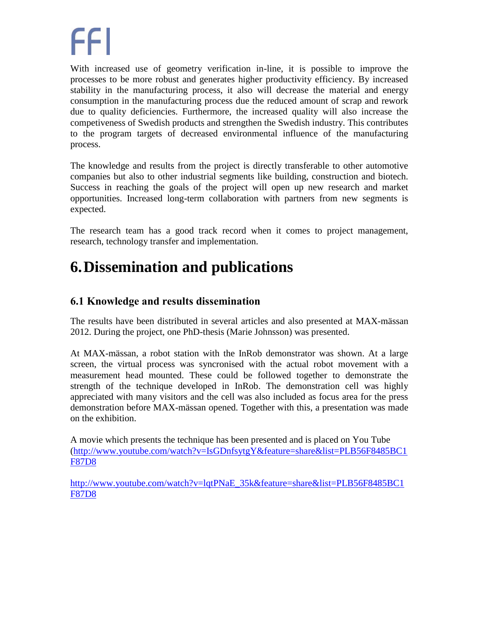With increased use of geometry verification in-line, it is possible to improve the processes to be more robust and generates higher productivity efficiency. By increased stability in the manufacturing process, it also will decrease the material and energy consumption in the manufacturing process due the reduced amount of scrap and rework due to quality deficiencies. Furthermore, the increased quality will also increase the competiveness of Swedish products and strengthen the Swedish industry. This contributes to the program targets of decreased environmental influence of the manufacturing process.

The knowledge and results from the project is directly transferable to other automotive companies but also to other industrial segments like building, construction and biotech. Success in reaching the goals of the project will open up new research and market opportunities. Increased long-term collaboration with partners from new segments is expected.

The research team has a good track record when it comes to project management, research, technology transfer and implementation.

### <span id="page-6-0"></span>**6.Dissemination and publications**

#### <span id="page-6-1"></span>**6.1 Knowledge and results dissemination**

<span id="page-6-2"></span>The results have been distributed in several articles and also presented at MAX-mässan 2012. During the project, one PhD-thesis (Marie Johnsson) was presented.

At MAX-mässan, a robot station with the InRob demonstrator was shown. At a large screen, the virtual process was syncronised with the actual robot movement with a measurement head mounted. These could be followed together to demonstrate the strength of the technique developed in InRob. The demonstration cell was highly appreciated with many visitors and the cell was also included as focus area for the press demonstration before MAX-mässan opened. Together with this, a presentation was made on the exhibition.

A movie which presents the technique has been presented and is placed on You Tube [\(http://www.youtube.com/watch?v=IsGDnfsytgY&feature=share&list=PLB56F8485BC1](http://www.youtube.com/watch?v=IsGDnfsytgY&feature=share&list=PLB56F8485BC1F87D8) [F87D8](http://www.youtube.com/watch?v=IsGDnfsytgY&feature=share&list=PLB56F8485BC1F87D8)

[http://www.youtube.com/watch?v=lqtPNaE\\_35k&feature=share&list=PLB56F8485BC1](http://www.youtube.com/watch?v=lqtPNaE_35k&feature=share&list=PLB56F8485BC1F87D8) [F87D8](http://www.youtube.com/watch?v=lqtPNaE_35k&feature=share&list=PLB56F8485BC1F87D8)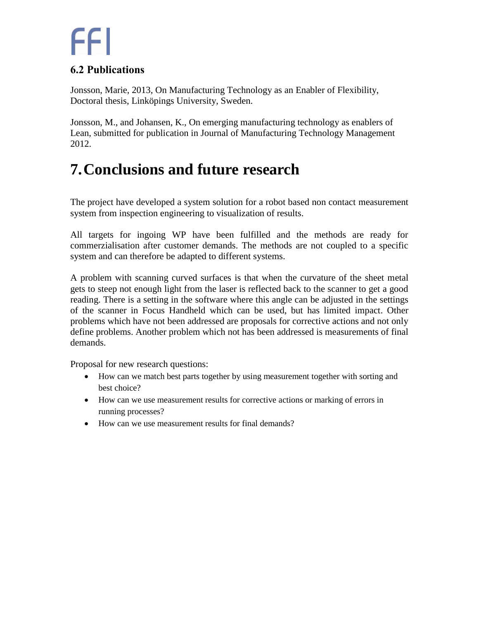#### **6.2 Publications**

Jonsson, Marie, 2013, On Manufacturing Technology as an Enabler of Flexibility, Doctoral thesis, Linköpings University, Sweden.

Jonsson, M., and Johansen, K., On emerging manufacturing technology as enablers of Lean, submitted for publication in Journal of Manufacturing Technology Management 2012.

### <span id="page-7-0"></span>**7.Conclusions and future research**

The project have developed a system solution for a robot based non contact measurement system from inspection engineering to visualization of results.

All targets for ingoing WP have been fulfilled and the methods are ready for commerzialisation after customer demands. The methods are not coupled to a specific system and can therefore be adapted to different systems.

A problem with scanning curved surfaces is that when the curvature of the sheet metal gets to steep not enough light from the laser is reflected back to the scanner to get a good reading. There is a setting in the software where this angle can be adjusted in the settings of the scanner in Focus Handheld which can be used, but has limited impact. Other problems which have not been addressed are proposals for corrective actions and not only define problems. Another problem which not has been addressed is measurements of final demands.

Proposal for new research questions:

- How can we match best parts together by using measurement together with sorting and best choice?
- How can we use measurement results for corrective actions or marking of errors in running processes?
- How can we use measurement results for final demands?